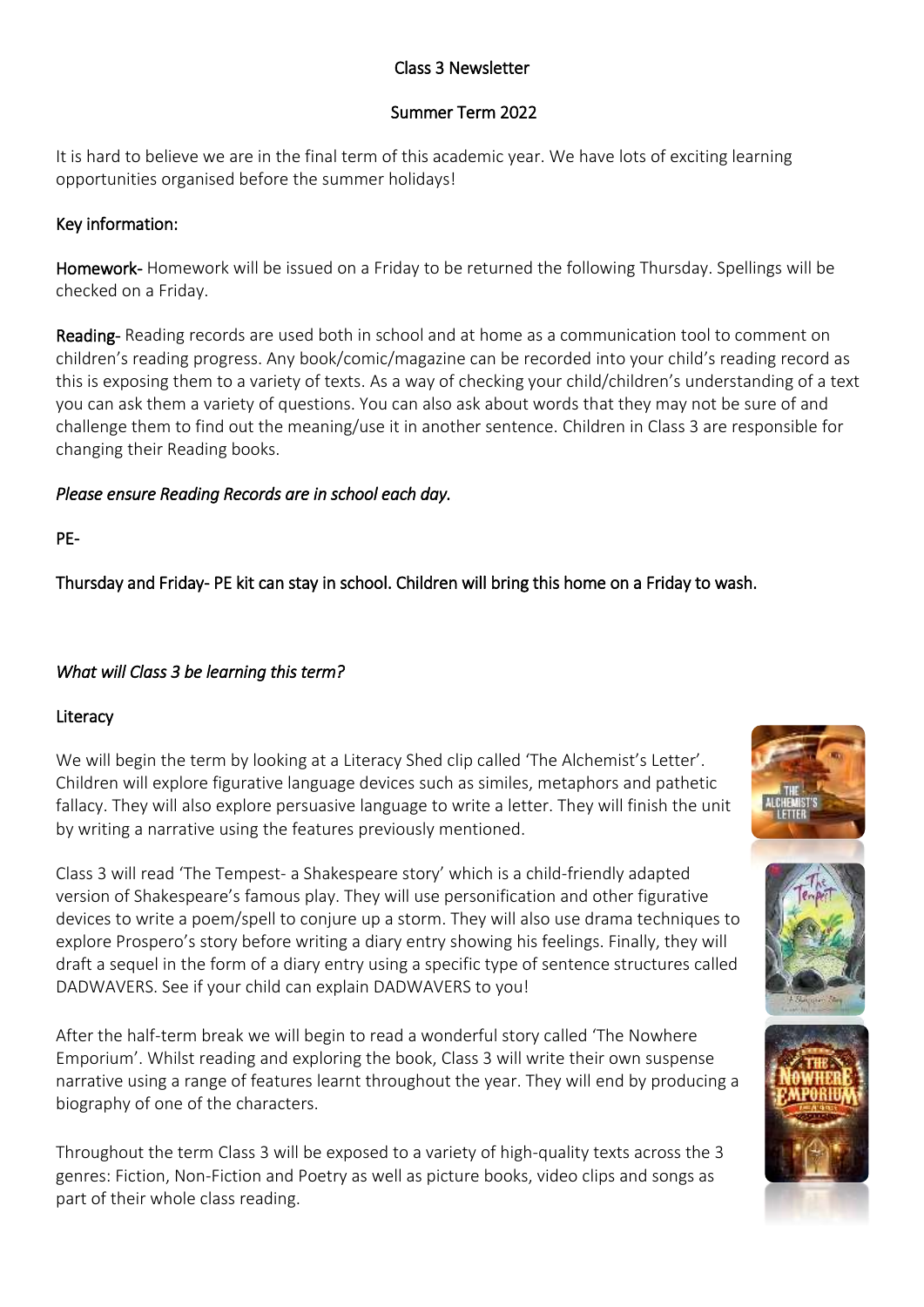## Class 3 Newsletter

## Summer Term 2022

It is hard to believe we are in the final term of this academic year. We have lots of exciting learning opportunities organised before the summer holidays!

# Key information:

Homework- Homework will be issued on a Friday to be returned the following Thursday. Spellings will be checked on a Friday.

Reading- Reading records are used both in school and at home as a communication tool to comment on children's reading progress. Any book/comic/magazine can be recorded into your child's reading record as this is exposing them to a variety of texts. As a way of checking your child/children's understanding of a text you can ask them a variety of questions. You can also ask about words that they may not be sure of and challenge them to find out the meaning/use it in another sentence. Children in Class 3 are responsible for changing their Reading books.

# *Please ensure Reading Records are in school each day.*

PE-

Thursday and Friday- PE kit can stay in school. Children will bring this home on a Friday to wash.

# *What will Class 3 be learning this term?*

## Literacy

We will begin the term by looking at a Literacy Shed clip called 'The Alchemist's Letter'. Children will explore figurative language devices such as similes, metaphors and pathetic fallacy. They will also explore persuasive language to write a letter. They will finish the unit by writing a narrative using the features previously mentioned.

Class 3 will read 'The Tempest- a Shakespeare story' which is a child-friendly adapted version of Shakespeare's famous play. They will use personification and other figurative devices to write a poem/spell to conjure up a storm. They will also use drama techniques to explore Prospero's story before writing a diary entry showing his feelings. Finally, they will draft a sequel in the form of a diary entry using a specific type of sentence structures called DADWAVERS. See if your child can explain DADWAVERS to you!

After the half-term break we will begin to read a wonderful story called 'The Nowhere Emporium'. Whilst reading and exploring the book, Class 3 will write their own suspense narrative using a range of features learnt throughout the year. They will end by producing a biography of one of the characters.

Throughout the term Class 3 will be exposed to a variety of high-quality texts across the 3 genres: Fiction, Non-Fiction and Poetry as well as picture books, video clips and songs as part of their whole class reading.





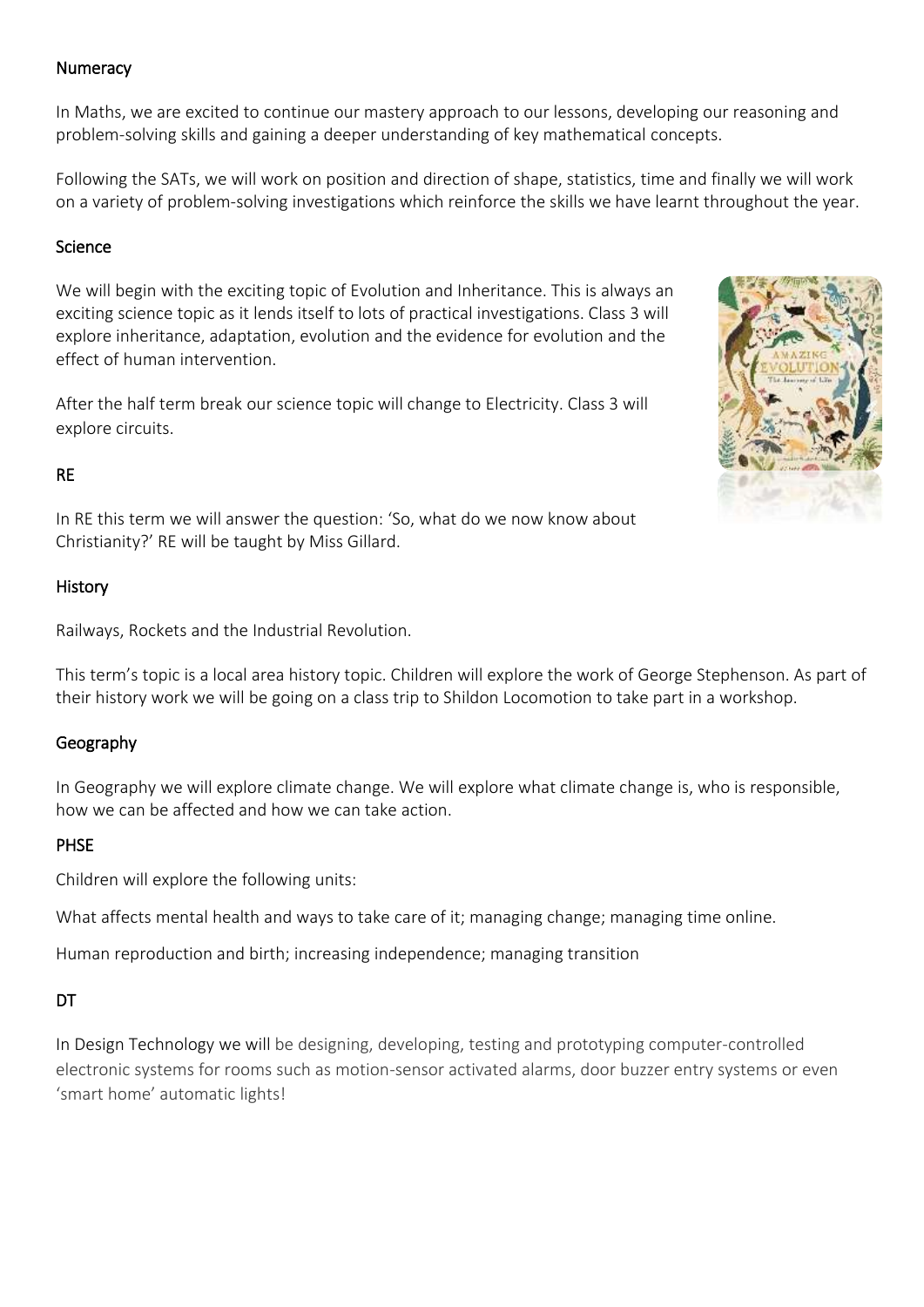#### **Numeracy**

In Maths, we are excited to continue our mastery approach to our lessons, developing our reasoning and problem-solving skills and gaining a deeper understanding of key mathematical concepts.

Following the SATs, we will work on position and direction of shape, statistics, time and finally we will work on a variety of problem-solving investigations which reinforce the skills we have learnt throughout the year.

#### Science

We will begin with the exciting topic of Evolution and Inheritance. This is always an exciting science topic as it lends itself to lots of practical investigations. Class 3 will explore inheritance, adaptation, evolution and the evidence for evolution and the effect of human intervention.

After the half term break our science topic will change to Electricity. Class 3 will explore circuits.

### RE

In RE this term we will answer the question: 'So, what do we now know about Christianity?' RE will be taught by Miss Gillard.

### History

Railways, Rockets and the Industrial Revolution.

This term's topic is a local area history topic. Children will explore the work of George Stephenson. As part of their history work we will be going on a class trip to Shildon Locomotion to take part in a workshop.

### Geography

In Geography we will explore climate change. We will explore what climate change is, who is responsible, how we can be affected and how we can take action.

### PHSE

Children will explore the following units:

What affects mental health and ways to take care of it; managing change; managing time online.

Human reproduction and birth; increasing independence; managing transition

### DT

In Design Technology we will be designing, developing, testing and prototyping computer-controlled electronic systems for rooms such as motion-sensor activated alarms, door buzzer entry systems or even 'smart home' automatic lights!